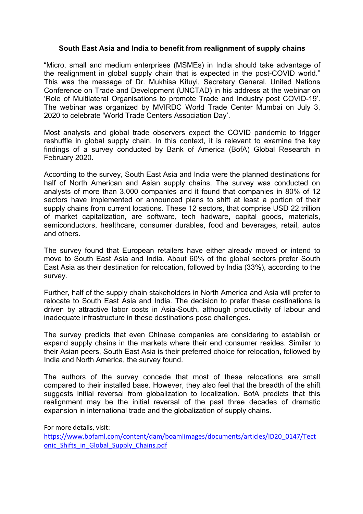# **South East Asia and India to benefit from realignment of supply chains**

"Micro, small and medium enterprises (MSMEs) in India should take advantage of the realignment in global supply chain that is expected in the post-COVID world." This was the message of Dr. Mukhisa Kituyi, Secretary General, United Nations Conference on Trade and Development (UNCTAD) in his address at the webinar on 'Role of Multilateral Organisations to promote Trade and Industry post COVID-19'. The webinar was organized by MVIRDC World Trade Center Mumbai on July 3, 2020 to celebrate 'World Trade Centers Association Day'.

Most analysts and global trade observers expect the COVID pandemic to trigger reshuffle in global supply chain. In this context, it is relevant to examine the key findings of a survey conducted by Bank of America (BofA) Global Research in February 2020.

According to the survey, South East Asia and India were the planned destinations for half of North American and Asian supply chains. The survey was conducted on analysts of more than 3,000 companies and it found that companies in 80% of 12 sectors have implemented or announced plans to shift at least a portion of their supply chains from current locations. These 12 sectors, that comprise USD 22 trillion of market capitalization, are software, tech hadware, capital goods, materials, semiconductors, healthcare, consumer durables, food and beverages, retail, autos and others.

The survey found that European retailers have either already moved or intend to move to South East Asia and India. About 60% of the global sectors prefer South East Asia as their destination for relocation, followed by India (33%), according to the survey.

Further, half of the supply chain stakeholders in North America and Asia will prefer to relocate to South East Asia and India. The decision to prefer these destinations is driven by attractive labor costs in Asia-South, although productivity of labour and inadequate infrastructure in these destinations pose challenges.<br>The survey predicts that even Chinese companies are considering to establish or

expand supply chains in the markets where their end consumer resides. Similar to their Asian peers, South East Asia is their preferred choice for relocation, followed by India and North America, the survey found.

The authors of the survey concede that most of these relocations are small compared to their installed base. However, they also feel that the breadth of the shift suggests initial reversal from globalization to localization. BofA predicts that this realignment may be the initial reversal of the past three decades of dramatic expansion in international trade and the globalization of supply chains.

For more details, visit: [https://www.bofaml.com/content/dam/boamlimages/documents/articles/ID20\\_0147/Tect](https://www.bofaml.com/content/dam/boamlimages/documents/articles/ID20_0147/Tectonic_Shifts_in_Global_Supply_Chains.pdf) onic\_Shifts\_in\_Global\_Supply\_Chains.pdf